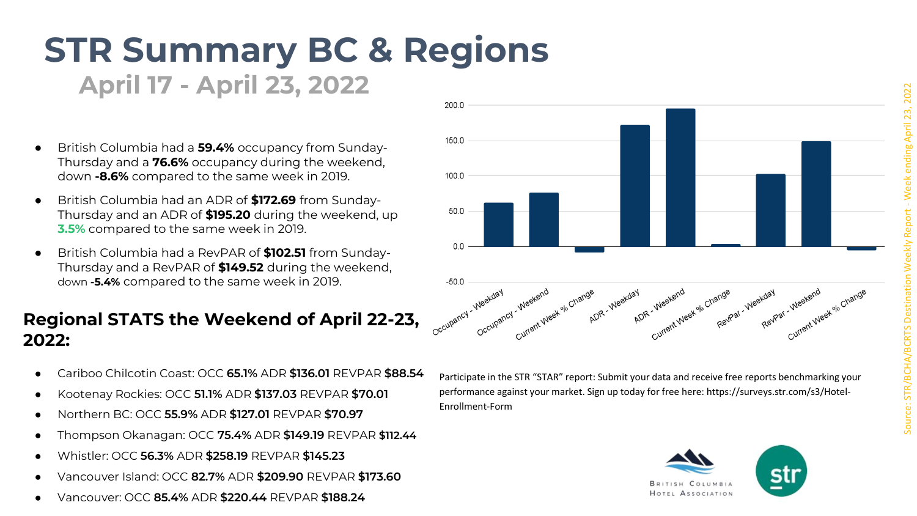## **STR Summary BC & Regions**

**April 17 - April 23, 2022**

- British Columbia had a **59.4%** occupancy from Sunday-Thursday and a **76.6%** occupancy during the weekend, down **-8.6%** compared to the same week in 2019.
- British Columbia had an ADR of **\$172.69** from Sunday-Thursday and an ADR of **\$195.20** during the weekend, up **3.5%** compared to the same week in 2019.
- British Columbia had a RevPAR of **\$102.51** from Sunday-Thursday and a RevPAR of **\$149.52** during the weekend, down **-5.4%** compared to the same week in 2019.

## **Regional STATS the Weekend of April 22-23, 2022:**

- Cariboo Chilcotin Coast: OCC **65.1%** ADR **\$136.01** REVPAR **\$88.54**
- Kootenay Rockies: OCC **51.1%** ADR **\$137.03** REVPAR **\$70.01**
- Northern BC: OCC **55.9%** ADR **\$127.01** REVPAR **\$70.97**
- Thompson Okanagan: OCC **75.4%** ADR **\$149.19** REVPAR **\$112.44**
- Whistler: OCC **56.3%** ADR **\$258.19** REVPAR **\$145.23**
- Vancouver Island: OCC **82.7%** ADR **\$209.90** REVPAR **\$173.60**
- Vancouver: OCC **85.4%** ADR **\$220.44** REVPAR **\$188.24**



Participate in the STR "STAR" report: Submit your data and receive free reports benchmarking your performance against your market. Sign up today for free here: https://surveys.str.com/s3/Hotel-Enrollment-Form